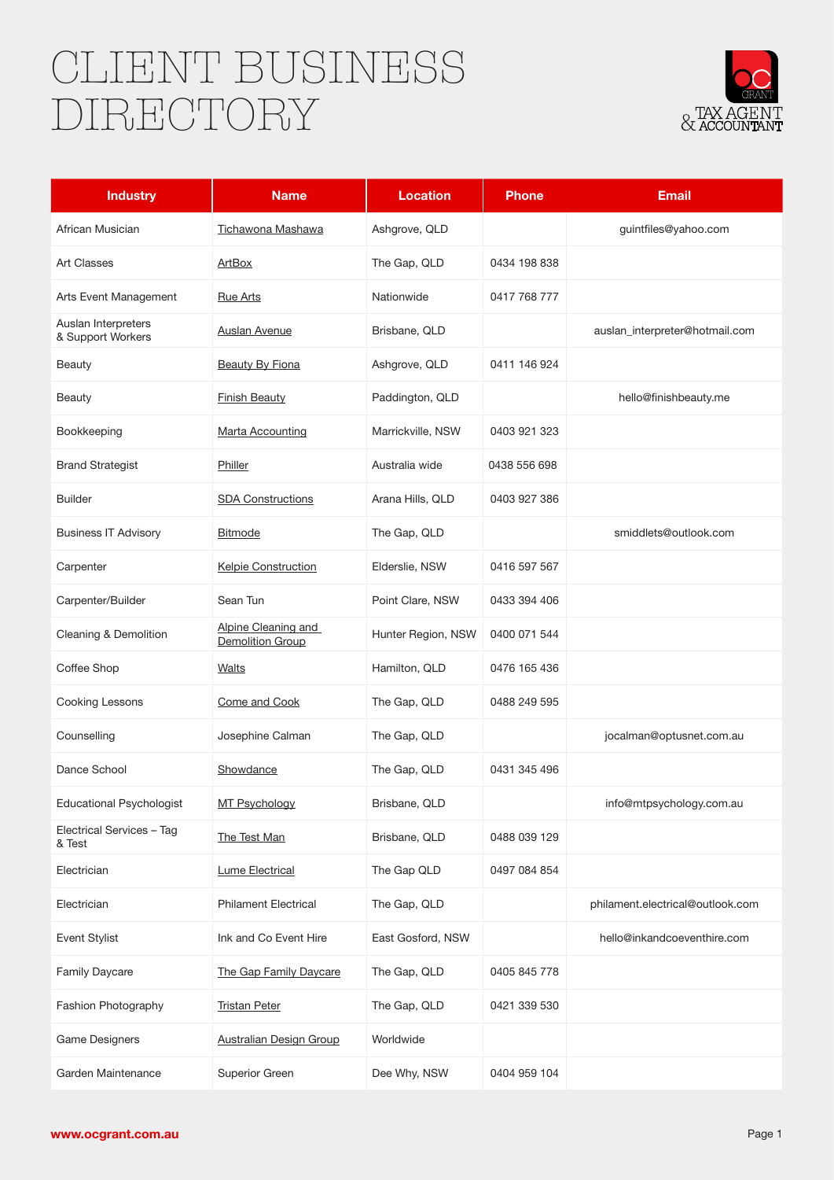## CLIENT BUSINESS DIRECTORY



| <b>Industry</b>                          | <b>Name</b>                                    | <b>Location</b>    | <b>Phone</b> | <b>Email</b>                     |
|------------------------------------------|------------------------------------------------|--------------------|--------------|----------------------------------|
| African Musician                         | <b>Tichawona Mashawa</b>                       | Ashgrove, QLD      |              | guintfiles@yahoo.com             |
| <b>Art Classes</b>                       | ArtBox                                         | The Gap, QLD       | 0434 198 838 |                                  |
| Arts Event Management                    | <b>Rue Arts</b>                                | Nationwide         | 0417 768 777 |                                  |
| Auslan Interpreters<br>& Support Workers | <u>Auslan Avenue</u>                           | Brisbane, QLD      |              | auslan_interpreter@hotmail.com   |
| <b>Beauty</b>                            | <b>Beauty By Fiona</b>                         | Ashgrove, QLD      | 0411 146 924 |                                  |
| <b>Beauty</b>                            | <b>Finish Beauty</b>                           | Paddington, QLD    |              | hello@finishbeauty.me            |
| Bookkeeping                              | <b>Marta Accounting</b>                        | Marrickville, NSW  | 0403 921 323 |                                  |
| <b>Brand Strategist</b>                  | Philler                                        | Australia wide     | 0438 556 698 |                                  |
| <b>Builder</b>                           | <b>SDA Constructions</b>                       | Arana Hills, QLD   | 0403 927 386 |                                  |
| <b>Business IT Advisory</b>              | <b>Bitmode</b>                                 | The Gap, QLD       |              | smiddlets@outlook.com            |
| Carpenter                                | Kelpie Construction                            | Elderslie, NSW     | 0416 597 567 |                                  |
| Carpenter/Builder                        | Sean Tun                                       | Point Clare, NSW   | 0433 394 406 |                                  |
| Cleaning & Demolition                    | Alpine Cleaning and<br><b>Demolition Group</b> | Hunter Region, NSW | 0400 071 544 |                                  |
| Coffee Shop                              | Walts                                          | Hamilton, QLD      | 0476 165 436 |                                  |
| Cooking Lessons                          | Come and Cook                                  | The Gap, QLD       | 0488 249 595 |                                  |
| Counselling                              | Josephine Calman                               | The Gap, QLD       |              | jocalman@optusnet.com.au         |
| Dance School                             | Showdance                                      | The Gap, QLD       | 0431 345 496 |                                  |
| <b>Educational Psychologist</b>          | MT Psychology                                  | Brisbane, QLD      |              | info@mtpsychology.com.au         |
| Electrical Services - Tag<br>& Test      | The Test Man                                   | Brisbane, QLD      | 0488 039 129 |                                  |
| Electrician                              | <b>Lume Electrical</b>                         | The Gap QLD        | 0497 084 854 |                                  |
| Electrician                              | <b>Philament Electrical</b>                    | The Gap, QLD       |              | philament.electrical@outlook.com |
| <b>Event Stylist</b>                     | Ink and Co Event Hire                          | East Gosford, NSW  |              | hello@inkandcoeventhire.com      |
| Family Daycare                           | The Gap Family Daycare                         | The Gap, QLD       | 0405 845 778 |                                  |
| Fashion Photography                      | <b>Tristan Peter</b>                           | The Gap, QLD       | 0421 339 530 |                                  |
| <b>Game Designers</b>                    | <b>Australian Design Group</b>                 | Worldwide          |              |                                  |
| Garden Maintenance                       | Superior Green                                 | Dee Why, NSW       | 0404 959 104 |                                  |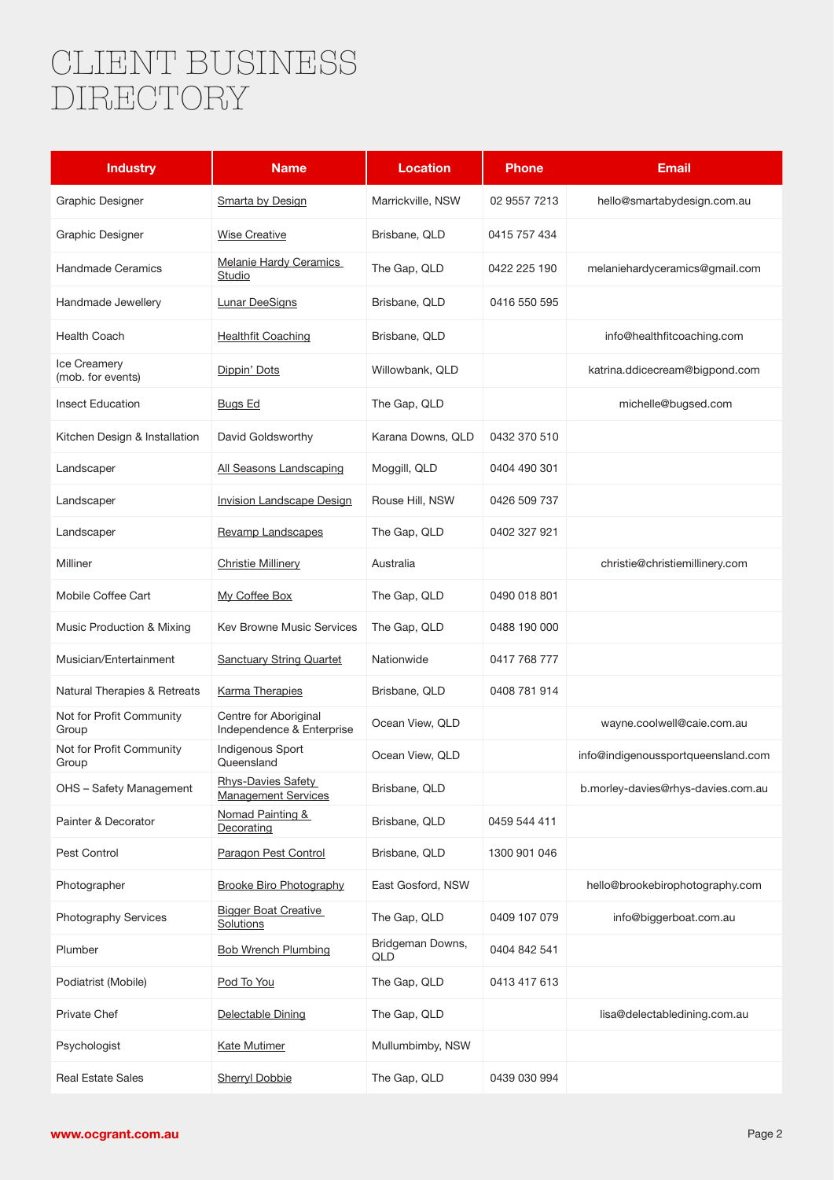## CLIENT BUSINESS DIRECTORY

| <b>Industry</b>                          | <b>Name</b>                                        | <b>Location</b>         | <b>Phone</b> | <b>Email</b>                       |
|------------------------------------------|----------------------------------------------------|-------------------------|--------------|------------------------------------|
| Graphic Designer                         | Smarta by Design                                   | Marrickville, NSW       | 02 9557 7213 | hello@smartabydesign.com.au        |
| Graphic Designer                         | <b>Wise Creative</b>                               | Brisbane, QLD           | 0415 757 434 |                                    |
| <b>Handmade Ceramics</b>                 | Melanie Hardy Ceramics<br>Studio                   | The Gap, QLD            | 0422 225 190 | melaniehardyceramics@gmail.com     |
| Handmade Jewellery                       | <b>Lunar DeeSigns</b>                              | Brisbane, QLD           | 0416 550 595 |                                    |
| <b>Health Coach</b>                      | <b>Healthfit Coaching</b>                          | Brisbane, QLD           |              | info@healthfitcoaching.com         |
| <b>Ice Creamery</b><br>(mob. for events) | Dippin' Dots                                       | Willowbank, QLD         |              | katrina.ddicecream@bigpond.com     |
| <b>Insect Education</b>                  | Bugs Ed                                            | The Gap, QLD            |              | michelle@bugsed.com                |
| Kitchen Design & Installation            | David Goldsworthy                                  | Karana Downs, QLD       | 0432 370 510 |                                    |
| Landscaper                               | All Seasons Landscaping                            | Moggill, QLD            | 0404 490 301 |                                    |
| Landscaper                               | Invision Landscape Design                          | Rouse Hill, NSW         | 0426 509 737 |                                    |
| Landscaper                               | Revamp Landscapes                                  | The Gap, QLD            | 0402 327 921 |                                    |
| Milliner                                 | <b>Christie Millinery</b>                          | Australia               |              | christie@christiemillinery.com     |
| Mobile Coffee Cart                       | My Coffee Box                                      | The Gap, QLD            | 0490 018 801 |                                    |
| Music Production & Mixing                | <b>Kev Browne Music Services</b>                   | The Gap, QLD            | 0488 190 000 |                                    |
| Musician/Entertainment                   | <b>Sanctuary String Quartet</b>                    | Nationwide              | 0417 768 777 |                                    |
| Natural Therapies & Retreats             | <b>Karma Therapies</b>                             | Brisbane, QLD           | 0408 781 914 |                                    |
| Not for Profit Community<br>Group        | Centre for Aboriginal<br>Independence & Enterprise | Ocean View, QLD         |              | wayne.coolwell@caie.com.au         |
| Not for Profit Community<br>Group        | Indigenous Sport<br>Queensland                     | Ocean View, QLD         |              | info@indigenoussportqueensland.com |
| OHS - Safety Management                  | Rhys-Davies Safety<br><b>Management Services</b>   | Brisbane, QLD           |              | b.morley-davies@rhys-davies.com.au |
| Painter & Decorator                      | Nomad Painting &<br>Decorating                     | Brisbane, QLD           | 0459 544 411 |                                    |
| Pest Control                             | Paragon Pest Control                               | Brisbane, QLD           | 1300 901 046 |                                    |
| Photographer                             | <b>Brooke Biro Photography</b>                     | East Gosford, NSW       |              | hello@brookebirophotography.com    |
| Photography Services                     | <b>Bigger Boat Creative</b><br>Solutions           | The Gap, QLD            | 0409 107 079 | info@biggerboat.com.au             |
| Plumber                                  | <b>Bob Wrench Plumbing</b>                         | Bridgeman Downs,<br>QLD | 0404 842 541 |                                    |
| Podiatrist (Mobile)                      | Pod To You                                         | The Gap, QLD            | 0413 417 613 |                                    |
| Private Chef                             | Delectable Dining                                  | The Gap, QLD            |              | lisa@delectabledining.com.au       |
| Psychologist                             | <b>Kate Mutimer</b>                                | Mullumbimby, NSW        |              |                                    |
| <b>Real Estate Sales</b>                 | <b>Sherryl Dobbie</b>                              | The Gap, QLD            | 0439 030 994 |                                    |